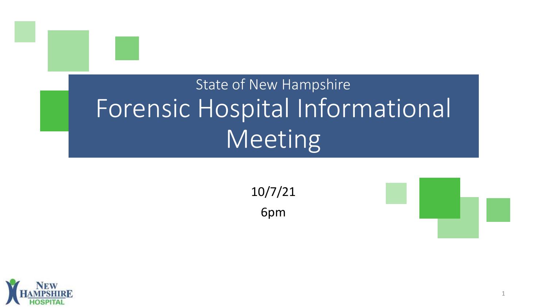# State of New Hampshire Forensic Hospital Informational Meeting

10/7/21

6pm



1

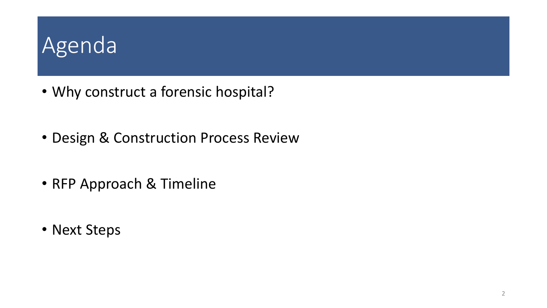### Agenda

- Why construct a forensic hospital?
- Design & Construction Process Review
- RFP Approach & Timeline
- Next Steps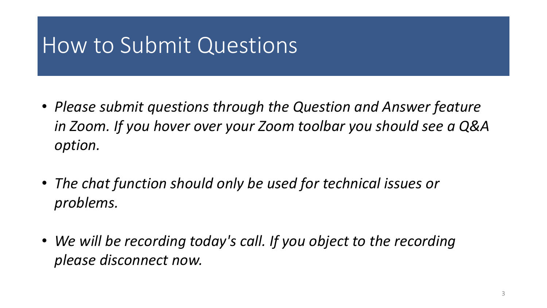#### How to Submit Questions

- *Please submit questions through the Question and Answer feature in Zoom. If you hover over your Zoom toolbar you should see a Q&A option.*
- *The chat function should only be used for technical issues or problems.*
- *We will be recording today's call. If you object to the recording please disconnect now.*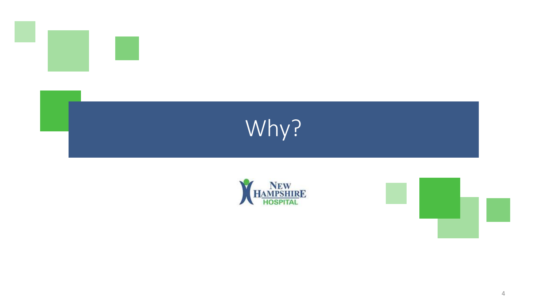





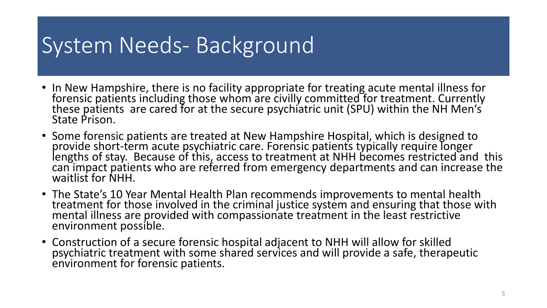### System Needs- Background

- In New Hampshire, there is no facility appropriate for treating acute mental illness for forensic patients including those whom are civilly committed for treatment. Currently these patients are cared for at the secure psychiatric unit (SPU) within the NH Men's State Prison.
- Some forensic patients are treated at New Hampshire Hospital, which is designed to provide short-term acute psychiatric care. Forensic patients typically require longer<br>lengths of stay. Because of this, access to treatment at NHH becomes restricted and this can impact patients who are referred from emergency departments and can increase the waitlist for NHH.
- The State's 10 Year Mental Health Plan recommends improvements to mental health treatment for those involved in the criminal justice system and ensuring that those with mental illness are provided with compassionate treatment in the least restrictive environment possible.
- Construction of a secure forensic hospital adjacent to NHH will allow for skilled psychiatric treatment with some shared services and will provide a safe, therapeutic environment for forensic patients.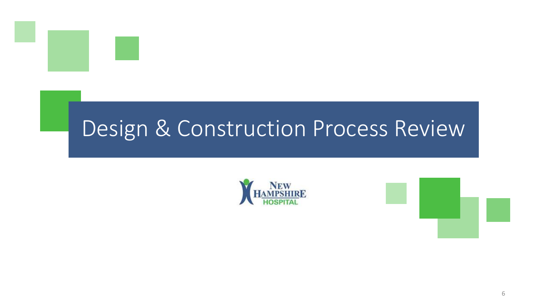

### Design & Construction Process Review



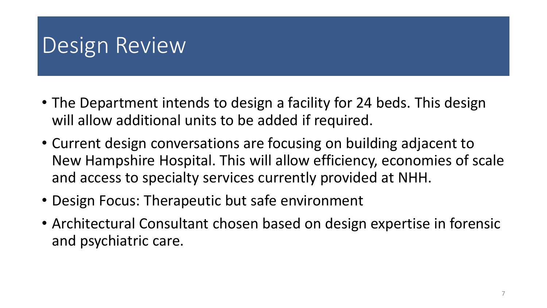# Design Review

- The Department intends to design a facility for 24 beds. This design will allow additional units to be added if required.
- Current design conversations are focusing on building adjacent to New Hampshire Hospital. This will allow efficiency, economies of scale and access to specialty services currently provided at NHH.
- Design Focus: Therapeutic but safe environment
- Architectural Consultant chosen based on design expertise in forensic and psychiatric care.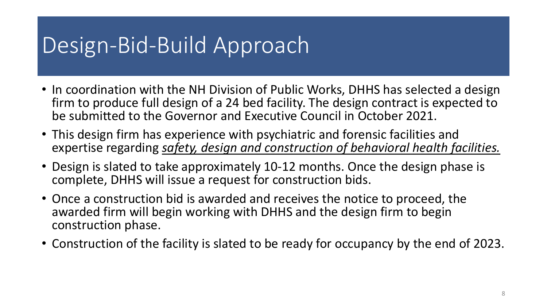# Design-Bid-Build Approach

- In coordination with the NH Division of Public Works, DHHS has selected a design firm to produce full design of a 24 bed facility. The design contract is expected to be submitted to the Governor and Executive Council in October 2021.
- This design firm has experience with psychiatric and forensic facilities and expertise regarding *safety, design and construction of behavioral health facilities.*
- Design is slated to take approximately 10-12 months. Once the design phase is complete, DHHS will issue a request for construction bids.
- Once a construction bid is awarded and receives the notice to proceed, the awarded firm will begin working with DHHS and the design firm to begin construction phase.
- Construction of the facility is slated to be ready for occupancy by the end of 2023.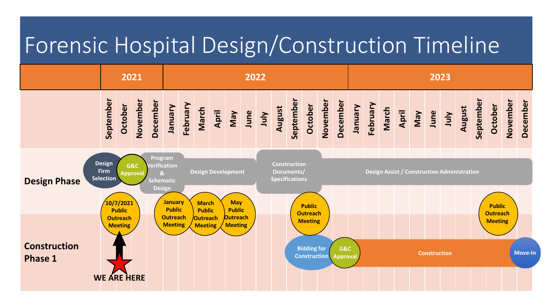### Forensic Hospital Design/Construction Timeline

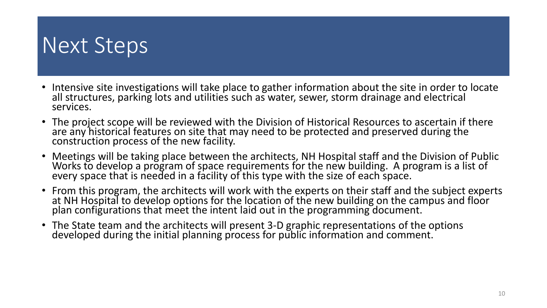#### Next Steps

- Intensive site investigations will take place to gather information about the site in order to locate all structures, parking lots and utilities such as water, sewer, storm drainage and electrical services.
- The project scope will be reviewed with the Division of Historical Resources to ascertain if there are any historical features on site that may need to be protected and preserved during the construction process of the new facility.
- Meetings will be taking place between the architects, NH Hospital staff and the Division of Public Works to develop a program of space requirements for the new building. A program is a list of every space that is needed in a facility of this type with the size of each space.
- From this program, the architects will work with the experts on their staff and the subject experts at NH Hospital to develop options for the location of the new building on the campus and floor plan configurations that meet the intent laid out in the programming document.
- The State team and the architects will present 3-D graphic representations of the options developed during the initial planning process for public information and comment.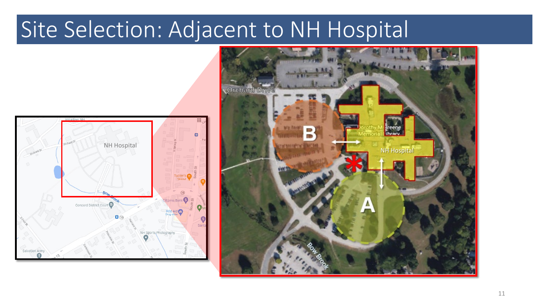# Site Selection: Adjacent to NH Hospital



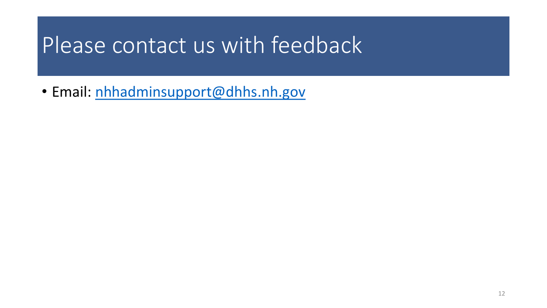### Please contact us with feedback

• Email: [nhhadminsupport@dhhs.nh.gov](mailto:nhhadminsupport@dhhs.nh.gov)